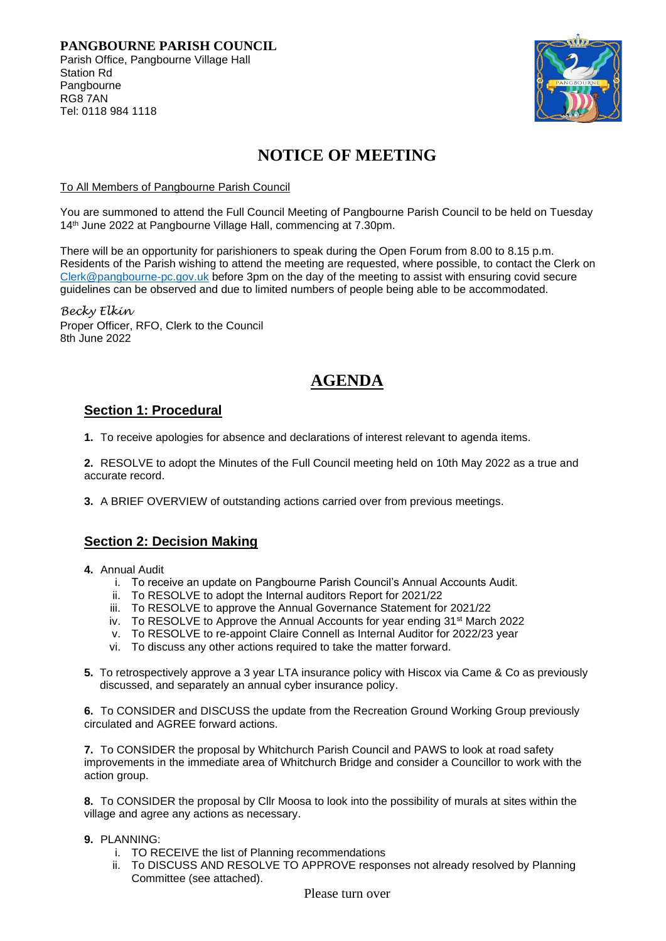

# **NOTICE OF MEETING**

#### To All Members of Pangbourne Parish Council

You are summoned to attend the Full Council Meeting of Pangbourne Parish Council to be held on Tuesday 14 th June 2022 at Pangbourne Village Hall, commencing at 7.30pm.

There will be an opportunity for parishioners to speak during the Open Forum from 8.00 to 8.15 p.m. Residents of the Parish wishing to attend the meeting are requested, where possible, to contact the Clerk on [Clerk@pangbourne-pc.gov.uk](mailto:Clerk@pangbourne-pc.gov.uk) before 3pm on the day of the meeting to assist with ensuring covid secure guidelines can be observed and due to limited numbers of people being able to be accommodated.

*Becky Elkin* Proper Officer, RFO, Clerk to the Council 8th June 2022

## **AGENDA**

## **Section 1: Procedural**

**1.** To receive apologies for absence and declarations of interest relevant to agenda items.

**2.** RESOLVE to adopt the Minutes of the Full Council meeting held on 10th May 2022 as a true and accurate record.

**3.** A BRIEF OVERVIEW of outstanding actions carried over from previous meetings.

### **Section 2: Decision Making**

- **4.** Annual Audit
	- i. To receive an update on Pangbourne Parish Council's Annual Accounts Audit.
	- ii. To RESOLVE to adopt the Internal auditors Report for 2021/22
	- iii. To RESOLVE to approve the Annual Governance Statement for 2021/22
	- iv. To RESOLVE to Approve the Annual Accounts for year ending 31<sup>st</sup> March 2022
	- v. To RESOLVE to re-appoint Claire Connell as Internal Auditor for 2022/23 year
	- vi. To discuss any other actions required to take the matter forward.
- **5.** To retrospectively approve a 3 year LTA insurance policy with Hiscox via Came & Co as previously discussed, and separately an annual cyber insurance policy.

**6.** To CONSIDER and DISCUSS the update from the Recreation Ground Working Group previously circulated and AGREE forward actions.

**7.** To CONSIDER the proposal by Whitchurch Parish Council and PAWS to look at road safety improvements in the immediate area of Whitchurch Bridge and consider a Councillor to work with the action group.

**8.** To CONSIDER the proposal by Cllr Moosa to look into the possibility of murals at sites within the village and agree any actions as necessary.

- **9.** PLANNING:
	- i. TO RECEIVE the list of Planning recommendations
	- ii. To DISCUSS AND RESOLVE TO APPROVE responses not already resolved by Planning Committee (see attached).